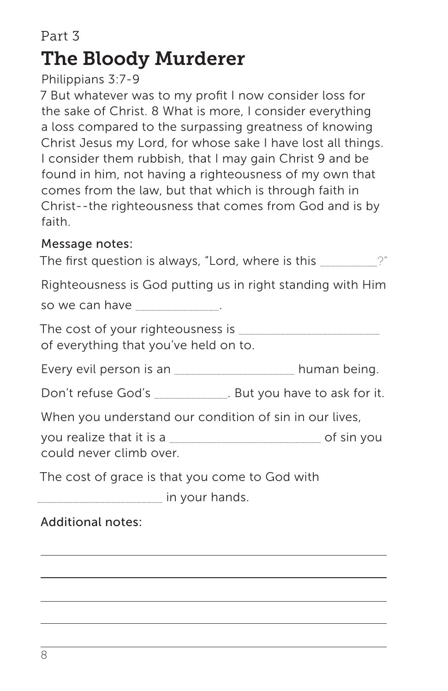# Part 3 The Bloody Murderer

### Philippians 3:7-9

7 But whatever was to my profit I now consider loss for the sake of Christ. 8 What is more, I consider everything a loss compared to the surpassing greatness of knowing Christ Jesus my Lord, for whose sake I have lost all things. I consider them rubbish, that I may gain Christ 9 and be found in him, not having a righteousness of my own that comes from the law, but that which is through faith in Christ--the righteousness that comes from God and is by faith.

#### Message notes:

The first question is always, "Lord, where is this  $\qquad \qquad$  ?" Righteousness is God putting us in right standing with Him

so we can have \_\_\_\_\_\_\_\_\_\_\_\_\_\_.

The cost of your righteousness is  $\Box$ of everything that you've held on to.

Every evil person is an \_\_\_\_\_\_\_\_\_\_\_\_\_\_\_\_\_\_\_\_\_\_ human being.

Don't refuse God's \_\_\_\_\_\_\_\_\_\_\_\_\_\_. But you have to ask for it.

When you understand our condition of sin in our lives,

you realize that it is a \_\_\_\_\_\_\_\_\_\_\_\_\_\_\_\_\_\_\_\_\_\_\_\_\_\_\_\_\_ of sin you could never climb over.

The cost of grace is that you come to God with

dentication in your hands.

# Additional notes: